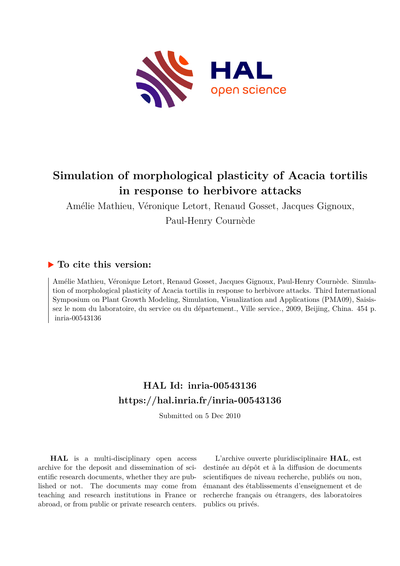

# **Simulation of morphological plasticity of Acacia tortilis in response to herbivore attacks**

Amélie Mathieu, Véronique Letort, Renaud Gosset, Jacques Gignoux, Paul-Henry Cournède

# **To cite this version:**

Amélie Mathieu, Véronique Letort, Renaud Gosset, Jacques Gignoux, Paul-Henry Cournède. Simulation of morphological plasticity of Acacia tortilis in response to herbivore attacks. Third International Symposium on Plant Growth Modeling, Simulation, Visualization and Applications (PMA09), Saisissez le nom du laboratoire, du service ou du département., Ville service., 2009, Beijing, China. 454 p. inria-00543136

# **HAL Id: inria-00543136 <https://hal.inria.fr/inria-00543136>**

Submitted on 5 Dec 2010

**HAL** is a multi-disciplinary open access archive for the deposit and dissemination of scientific research documents, whether they are published or not. The documents may come from teaching and research institutions in France or abroad, or from public or private research centers.

L'archive ouverte pluridisciplinaire **HAL**, est destinée au dépôt et à la diffusion de documents scientifiques de niveau recherche, publiés ou non, émanant des établissements d'enseignement et de recherche français ou étrangers, des laboratoires publics ou privés.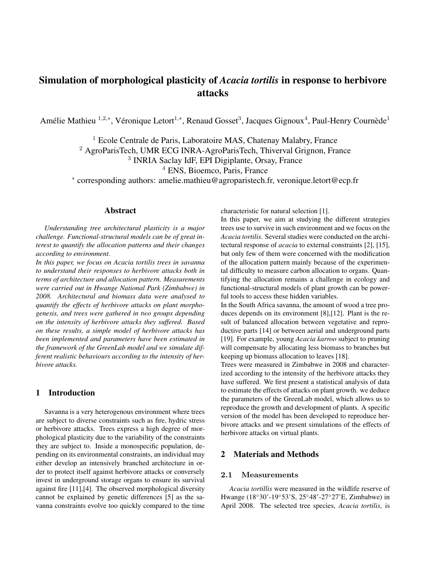# Simulation of morphological plasticity of *Acacia tortilis* in response to herbivore attacks

Amélie Mathieu <sup>1,2,\*</sup>, Véronique Letort<sup>1,\*</sup>, Renaud Gosset<sup>3</sup>, Jacques Gignoux<sup>4</sup>, Paul-Henry Cournède<sup>1</sup>

<sup>1</sup> Ecole Centrale de Paris, Laboratoire MAS, Chatenay Malabry, France

<sup>2</sup> AgroParisTech, UMR ECG INRA-AgroParisTech, Thiverval Grignon, France

3 INRIA Saclay IdF, EPI Digiplante, Orsay, France

<sup>4</sup> ENS, Bioemco, Paris, France

∗ corresponding authors: amelie.mathieu@agroparistech.fr, veronique.letort@ecp.fr

# Abstract

*Understanding tree architectural plasticity is a major challenge. Functional-structural models can be of great interest to quantify the allocation patterns and their changes according to environment.*

*In this paper, we focus on Acacia tortilis trees in savanna to understand their responses to herbivore attacks both in terms of architecture and allocation pattern. Measurements were carried out in Hwange National Park (Zimbabwe) in 2008. Architectural and biomass data were analysed to quantify the effects of herbivore attacks on plant morphogenesis, and trees were gathered in two groups depending on the intensity of herbivore attacks they suffered. Based on these results, a simple model of herbivore attacks has been implemented and parameters have been estimated in the framework of the GreenLab model and we simulate different realistic behaviours according to the intensity of herbivore attacks.*

# 1 Introduction

Savanna is a very heterogenous environment where trees are subject to diverse constraints such as fire, hydric stress or herbivore attacks. Trees express a high degree of morphological plasticity due to the variability of the constraints they are subject to. Inside a monospecific population, depending on its environmental constraints, an individual may either develop an intensively branched architecture in order to protect itself against herbivore attacks or conversely invest in underground storage organs to ensure its survival against fire [11],[4]. The observed morphological diversity cannot be explained by genetic differences [5] as the savanna constraints evolve too quickly compared to the time

characteristic for natural selection [1].

In this paper, we aim at studying the different strategies trees use to survive in such environment and we focus on the *Acacia tortilis*. Several studies were conducted on the architectural response of *acacia* to external constraints [2], [15], but only few of them were concerned with the modification of the allocation pattern mainly because of the experimental difficulty to measure carbon allocation to organs. Quantifying the allocation remains a challenge in ecology and functional-structural models of plant growth can be powerful tools to access these hidden variables.

In the South Africa savanna, the amount of wood a tree produces depends on its environment [8],[12]. Plant is the result of balanced allocation between vegetative and reproductive parts [14] or between aerial and underground parts [19]. For example, young *Acacia karroo* subject to pruning will compensate by allocating less biomass to branches but keeping up biomass allocation to leaves [18].

Trees were measured in Zimbabwe in 2008 and characterized according to the intensity of the herbivore attacks they have suffered. We first present a statistical analysis of data to estimate the effects of attacks on plant growth. we deduce the parameters of the GreenLab model, which allows us to reproduce the growth and development of plants. A specific version of the model has been developed to reproduce herbivore attacks and we present simulations of the effects of herbivore attacks on virtual plants.

## 2 Materials and Methods

### 2.1 Measurements

*Acacia tortillis* were measured in the wildlife reserve of Hwange (18◦30'-19◦53'S, 25◦48'-27◦27'E, Zimbabwe) in April 2008. The selected tree species, *Acacia tortilis*, is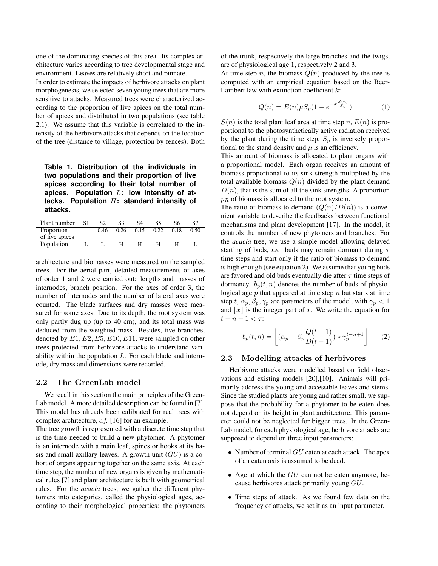one of the dominating species of this area. Its complex architecture varies according to tree developmental stage and environment. Leaves are relatively short and pinnate.

In order to estimate the impacts of herbivore attacks on plant morphogenesis, we selected seven young trees that are more sensitive to attacks. Measured trees were characterized according to the proportion of live apices on the total number of apices and distributed in two populations (see table 2.1). We assume that this variable is correlated to the intensity of the herbivore attacks that depends on the location of the tree (distance to village, protection by fences). Both

**Table 1. Distribution of the individuals in two populations and their proportion of live apices according to their total number of apices. Population** L**: low intensity of attacks. Population** H**: standard intensity of attacks.**

| Plant number   | S <sub>1</sub> |      |      |      | S5.  | S6   | S7   |
|----------------|----------------|------|------|------|------|------|------|
| Proportion     |                | 0.46 | 0.26 | 0.15 | 0.22 | 0.18 | 0.50 |
| of live apices |                |      |      |      |      |      |      |
| Population     |                |      |      |      |      |      |      |
|                |                |      |      |      |      |      |      |

architecture and biomasses were measured on the sampled trees. For the aerial part, detailed measurements of axes of order 1 and 2 were carried out: lengths and masses of internodes, branch position. For the axes of order 3, the number of internodes and the number of lateral axes were counted. The blade surfaces and dry masses were measured for some axes. Due to its depth, the root system was only partly dug up (up to 40 cm), and its total mass was deduced from the weighted mass. Besides, five branches, denoted by  $E1, E2, E5, E10, E11$ , were sampled on other trees protected from herbivore attacks to understand variability within the population  $L$ . For each blade and internode, dry mass and dimensions were recorded.

#### 2.2 The GreenLab model

We recall in this section the main principles of the Green-Lab model. A more detailed description can be found in [7]. This model has already been calibrated for real trees with complex architecture, *c.f.* [16] for an example.

The tree growth is represented with a discrete time step that is the time needed to build a new phytomer. A phytomer is an internode with a main leaf, spines or hooks at its basis and small axillary leaves. A growth unit  $(GU)$  is a cohort of organs appearing together on the same axis. At each time step, the number of new organs is given by mathematical rules [7] and plant architecture is built with geometrical rules. For the *acacia* trees, we gather the different phytomers into categories, called the physiological ages, according to their morphological properties: the phytomers

of the trunk, respectively the large branches and the twigs, are of physiological age 1, respectively 2 and 3.

At time step n, the biomass  $Q(n)$  produced by the tree is computed with an empirical equation based on the Beer-Lambert law with extinction coefficient  $k$ :

$$
Q(n) = E(n)\mu S_p(1 - e^{-k\frac{S(n)}{S_p}})
$$
 (1)

 $S(n)$  is the total plant leaf area at time step n,  $E(n)$  is proportional to the photosynthetically active radiation received by the plant during the time step,  $S_p$  is inversely proportional to the stand density and  $\mu$  is an efficiency.

This amount of biomass is allocated to plant organs with a proportional model. Each organ receives an amount of biomass proportional to its sink strength multiplied by the total available biomass  $Q(n)$  divided by the plant demand  $D(n)$ , that is the sum of all the sink strengths. A proportion  $p_R$  of biomass is allocated to the root system.

The ratio of biomass to demand  $(Q(n)/D(n))$  is a convenient variable to describe the feedbacks between functional mechanisms and plant development [17]. In the model, it controls the number of new phytomers and branches. For the *acacia* tree, we use a simple model allowing delayed starting of buds, *i.e.* buds may remain dormant during  $\tau$ time steps and start only if the ratio of biomass to demand is high enough (see equation 2). We assume that young buds are favored and old buds eventually die after  $\tau$  time steps of dormancy.  $b_p(t, n)$  denotes the number of buds of physiological age  $p$  that appeared at time step  $n$  but starts at time step t,  $\alpha_p, \beta_p, \gamma_p$  are parameters of the model, with  $\gamma_p < 1$ and  $\lfloor x \rfloor$  is the integer part of x. We write the equation for  $t - n + 1 < \tau$ :

$$
b_p(t,n) = \left[ (\alpha_p + \beta_p \frac{Q(t-1)}{D(t-1)}) \ast \gamma_p^{t-n+1} \right] \qquad (2)
$$

#### 2.3 Modelling attacks of herbivores

Herbivore attacks were modelled based on field observations and existing models [20],[10]. Animals will primarily address the young and accessible leaves and stems. Since the studied plants are young and rather small, we suppose that the probability for a phytomer to be eaten does not depend on its height in plant architecture. This parameter could not be neglected for bigger trees. In the Green-Lab model, for each physiological age, herbivore attacks are supposed to depend on three input parameters:

- Number of terminal  $GU$  eaten at each attack. The apex of an eaten axis is assumed to be dead.
- Age at which the  $GU$  can not be eaten anymore, because herbivores attack primarily young GU.
- Time steps of attack. As we found few data on the frequency of attacks, we set it as an input parameter.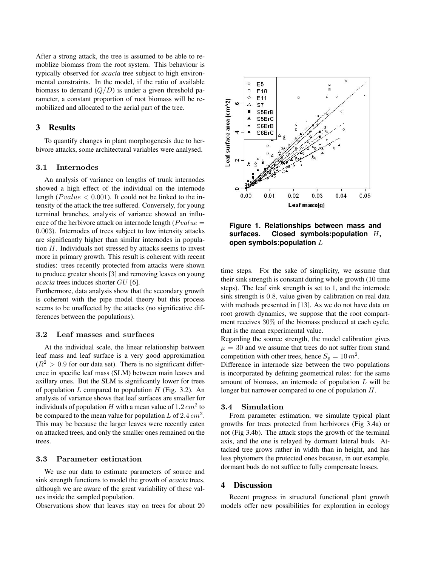After a strong attack, the tree is assumed to be able to remoblize biomass from the root system. This behaviour is typically observed for *acacia* tree subject to high environmental constraints. In the model, if the ratio of available biomass to demand  $(Q/D)$  is under a given threshold parameter, a constant proportion of root biomass will be remobilized and allocated to the aerial part of the tree.

## 3 Results

To quantify changes in plant morphogenesis due to herbivore attacks, some architectural variables were analysed.

#### 3.1 Internodes

An analysis of variance on lengths of trunk internodes showed a high effect of the individual on the internode length ( $P value < 0.001$ ). It could not be linked to the intensity of the attack the tree suffered. Conversely, for young terminal branches, analysis of variance showed an influence of the herbivore attack on internode length ( $P value =$ 0.003). Internodes of trees subject to low intensity attacks are significantly higher than similar internodes in population  $H$ . Individuals not stressed by attacks seems to invest more in primary growth. This result is coherent with recent studies: trees recently protected from attacks were shown to produce greater shoots [3] and removing leaves on young *acacia* trees induces shorter GU [6].

Furthermore, data analysis show that the secondary growth is coherent with the pipe model theory but this process seems to be unaffected by the attacks (no significative differences between the populations).

#### 3.2 Leaf masses and surfaces

At the individual scale, the linear relationship between leaf mass and leaf surface is a very good approximation  $(R<sup>2</sup> > 0.9$  for our data set). There is no significant difference in specific leaf mass (SLM) between main leaves and axillary ones. But the SLM is significantly lower for trees of population  $L$  compared to population  $H$  (Fig. 3.2). An analysis of variance shows that leaf surfaces are smaller for individuals of population H with a mean value of  $1.2\,cm^2$  to be compared to the mean value for population L of 2.4  $cm<sup>2</sup>$ . This may be because the larger leaves were recently eaten on attacked trees, and only the smaller ones remained on the trees.

#### 3.3 Parameter estimation

We use our data to estimate parameters of source and sink strength functions to model the growth of *acacia* trees, although we are aware of the great variability of these values inside the sampled population.

Observations show that leaves stay on trees for about 20



**Figure 1. Relationships between mass and surfaces. Closed symbols:population** H**, open symbols:population** L

time steps. For the sake of simplicity, we assume that their sink strength is constant during whole growth (10 time steps). The leaf sink strength is set to 1, and the internode sink strength is 0.8, value given by calibration on real data with methods presented in [13]. As we do not have data on root growth dynamics, we suppose that the root compartment receives 30% of the biomass produced at each cycle, that is the mean experimental value.

Regarding the source strength, the model calibration gives  $\mu = 30$  and we assume that trees do not suffer from stand competition with other trees, hence  $S_p = 10 m^2$ .

Difference in internode size between the two populations is incorporated by defining geometrical rules: for the same amount of biomass, an internode of population  $L$  will be longer but narrower compared to one of population H.

#### 3.4 Simulation

From parameter estimation, we simulate typical plant growths for trees protected from herbivores (Fig 3.4a) or not (Fig 3.4b). The attack stops the growth of the terminal axis, and the one is relayed by dormant lateral buds. Attacked tree grows rather in width than in height, and has less phytomers the protected ones because, in our example, dormant buds do not suffice to fully compensate losses.

#### 4 Discussion

Recent progress in structural functional plant growth models offer new possibilities for exploration in ecology